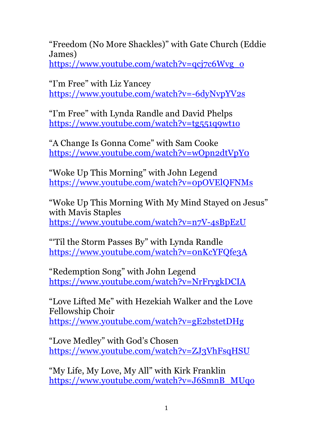"Freedom (No More Shackles)" with Gate Church (Eddie James)

https://www.youtube.com/watch?v=qcj7c6Wvg\_o

"I'm Free" with Liz Yancey https://www.youtube.com/watch?v=-6dyNvpYV2s

"I'm Free" with Lynda Randle and David Phelps https://www.youtube.com/watch?v=tg551q9wt1o

"A Change Is Gonna Come" with Sam Cooke https://www.youtube.com/watch?v=wOpn2dtVpY0

"Woke Up This Morning" with John Legend https://www.youtube.com/watch?v=0pOVElQFNMs

"Woke Up This Morning With My Mind Stayed on Jesus" with Mavis Staples https://www.youtube.com/watch?v=n7V-4sBpEzU

"'Til the Storm Passes By" with Lynda Randle https://www.youtube.com/watch?v=0nKcYFQfe3A

"Redemption Song" with John Legend https://www.youtube.com/watch?v=NrFrygkDCIA

"Love Lifted Me" with Hezekiah Walker and the Love Fellowship Choir https://www.youtube.com/watch?v=gE2bstetDHg

"Love Medley" with God's Chosen https://www.youtube.com/watch?v=ZJ3VhFsqHSU

"My Life, My Love, My All" with Kirk Franklin https://www.youtube.com/watch?v=J6SmnB\_MUqo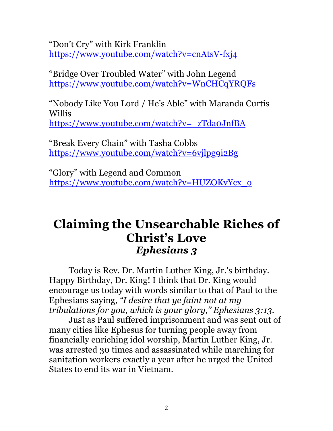"Don't Cry" with Kirk Franklin https://www.youtube.com/watch?v=cnAtsV-fxj4

"Bridge Over Troubled Water" with John Legend https://www.youtube.com/watch?v=WnCHCqYRQFs

"Nobody Like You Lord / He's Able" with Maranda Curtis Willis https://www.youtube.com/watch?v=\_zTda0JnfBA

"Break Every Chain" with Tasha Cobbs https://www.youtube.com/watch?v=6vjlpg9i2Bg

"Glory" with Legend and Common https://www.youtube.com/watch?v=HUZOKvYcx\_o

## **Claiming the Unsearchable Riches of Christ's Love** *Ephesians 3*

Today is Rev. Dr. Martin Luther King, Jr.'s birthday. Happy Birthday, Dr. King! I think that Dr. King would encourage us today with words similar to that of Paul to the Ephesians saying, *"I desire that ye faint not at my tribulations for you, which is your glory," Ephesians 3:13.* 

Just as Paul suffered imprisonment and was sent out of many cities like Ephesus for turning people away from financially enriching idol worship, Martin Luther King, Jr. was arrested 30 times and assassinated while marching for sanitation workers exactly a year after he urged the United States to end its war in Vietnam.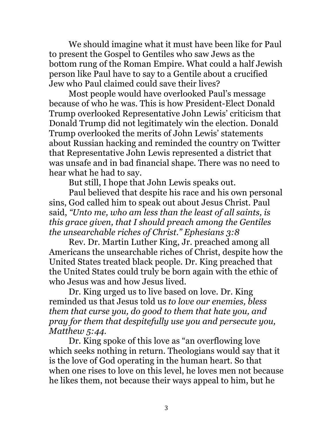We should imagine what it must have been like for Paul to present the Gospel to Gentiles who saw Jews as the bottom rung of the Roman Empire. What could a half Jewish person like Paul have to say to a Gentile about a crucified Jew who Paul claimed could save their lives?

Most people would have overlooked Paul's message because of who he was. This is how President-Elect Donald Trump overlooked Representative John Lewis' criticism that Donald Trump did not legitimately win the election. Donald Trump overlooked the merits of John Lewis' statements about Russian hacking and reminded the country on Twitter that Representative John Lewis represented a district that was unsafe and in bad financial shape. There was no need to hear what he had to say.

But still, I hope that John Lewis speaks out.

Paul believed that despite his race and his own personal sins, God called him to speak out about Jesus Christ. Paul said, *"Unto me, who am less than the least of all saints, is this grace given, that I should preach among the Gentiles the unsearchable riches of Christ." Ephesians 3:8*

Rev. Dr. Martin Luther King, Jr. preached among all Americans the unsearchable riches of Christ, despite how the United States treated black people. Dr. King preached that the United States could truly be born again with the ethic of who Jesus was and how Jesus lived.

Dr. King urged us to live based on love. Dr. King reminded us that Jesus told us *to love our enemies, bless them that curse you, do good to them that hate you, and pray for them that despitefully use you and persecute you, Matthew 5:44.* 

Dr. King spoke of this love as "an overflowing love which seeks nothing in return. Theologians would say that it is the love of God operating in the human heart. So that when one rises to love on this level, he loves men not because he likes them, not because their ways appeal to him, but he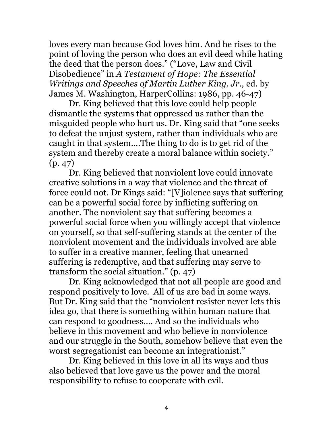loves every man because God loves him. And he rises to the point of loving the person who does an evil deed while hating the deed that the person does." ("Love, Law and Civil Disobedience" in *A Testament of Hope: The Essential Writings and Speeches of Martin Luther King, Jr.,* ed. by James M. Washington, HarperCollins: 1986, pp. 46-47)

Dr. King believed that this love could help people dismantle the systems that oppressed us rather than the misguided people who hurt us. Dr. King said that "one seeks to defeat the unjust system, rather than individuals who are caught in that system….The thing to do is to get rid of the system and thereby create a moral balance within society." (p. 47)

Dr. King believed that nonviolent love could innovate creative solutions in a way that violence and the threat of force could not. Dr Kings said: "[V]iolence says that suffering can be a powerful social force by inflicting suffering on another. The nonviolent say that suffering becomes a powerful social force when you willingly accept that violence on yourself, so that self-suffering stands at the center of the nonviolent movement and the individuals involved are able to suffer in a creative manner, feeling that unearned suffering is redemptive, and that suffering may serve to transform the social situation." (p. 47)

Dr. King acknowledged that not all people are good and respond positively to love. All of us are bad in some ways. But Dr. King said that the "nonviolent resister never lets this idea go, that there is something within human nature that can respond to goodness…. And so the individuals who believe in this movement and who believe in nonviolence and our struggle in the South, somehow believe that even the worst segregationist can become an integrationist."

Dr. King believed in this love in all its ways and thus also believed that love gave us the power and the moral responsibility to refuse to cooperate with evil.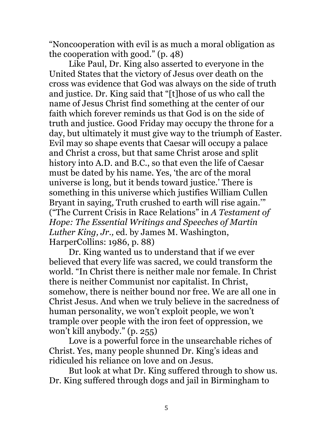"Noncooperation with evil is as much a moral obligation as the cooperation with good." (p. 48)

Like Paul, Dr. King also asserted to everyone in the United States that the victory of Jesus over death on the cross was evidence that God was always on the side of truth and justice. Dr. King said that "[t]hose of us who call the name of Jesus Christ find something at the center of our faith which forever reminds us that God is on the side of truth and justice. Good Friday may occupy the throne for a day, but ultimately it must give way to the triumph of Easter. Evil may so shape events that Caesar will occupy a palace and Christ a cross, but that same Christ arose and split history into A.D. and B.C., so that even the life of Caesar must be dated by his name. Yes, 'the arc of the moral universe is long, but it bends toward justice.' There is something in this universe which justifies William Cullen Bryant in saying, Truth crushed to earth will rise again.'" ("The Current Crisis in Race Relations" in *A Testament of Hope: The Essential Writings and Speeches of Martin Luther King, Jr.,* ed. by James M. Washington, HarperCollins: 1986, p. 88)

Dr. King wanted us to understand that if we ever believed that every life was sacred, we could transform the world. "In Christ there is neither male nor female. In Christ there is neither Communist nor capitalist. In Christ, somehow, there is neither bound nor free. We are all one in Christ Jesus. And when we truly believe in the sacredness of human personality, we won't exploit people, we won't trample over people with the iron feet of oppression, we won't kill anybody." (p. 255)

Love is a powerful force in the unsearchable riches of Christ. Yes, many people shunned Dr. King's ideas and ridiculed his reliance on love and on Jesus.

But look at what Dr. King suffered through to show us. Dr. King suffered through dogs and jail in Birmingham to